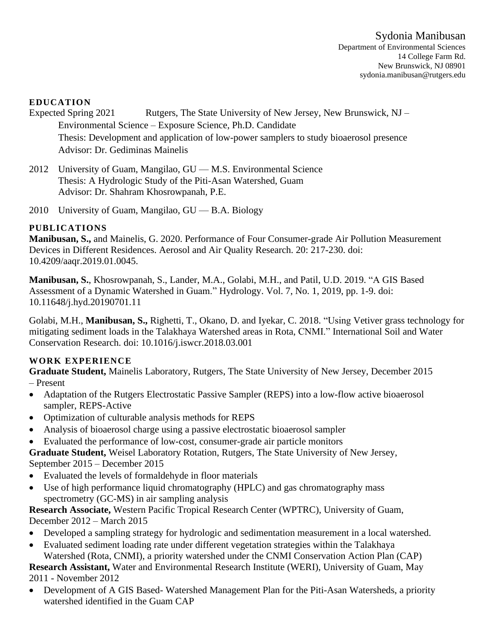#### **EDUCATION**

- Expected Spring 2021 Rutgers, The State University of New Jersey, New Brunswick, NJ Environmental Science – Exposure Science, Ph.D. Candidate Thesis: Development and application of low-power samplers to study bioaerosol presence Advisor: Dr. Gediminas Mainelis
- 2012 University of Guam, Mangilao, GU M.S. Environmental Science Thesis: A Hydrologic Study of the Piti-Asan Watershed, Guam Advisor: Dr. Shahram Khosrowpanah, P.E.
- 2010 University of Guam, Mangilao,  $GU B.A.$  Biology

## **PUBLICATIONS**

**Manibusan, S.,** and Mainelis, G. 2020. Performance of Four Consumer-grade Air Pollution Measurement Devices in Different Residences. Aerosol and Air Quality Research. 20: 217-230. doi: 10.4209/aaqr.2019.01.0045.

**Manibusan, S.**, Khosrowpanah, S., Lander, M.A., Golabi, M.H., and Patil, U.D. 2019. "A GIS Based Assessment of a Dynamic Watershed in Guam." Hydrology. Vol. 7, No. 1, 2019, pp. 1-9. doi: 10.11648/j.hyd.20190701.11

Golabi, M.H., **Manibusan, S.,** Righetti, T., Okano, D. and Iyekar, C. 2018. "Using Vetiver grass technology for mitigating sediment loads in the Talakhaya Watershed areas in Rota, CNMI." International Soil and Water Conservation Research. doi: 10.1016/j.iswcr.2018.03.001

## **WORK EXPERIENCE**

**Graduate Student,** Mainelis Laboratory, Rutgers, The State University of New Jersey, December 2015 – Present

- Adaptation of the Rutgers Electrostatic Passive Sampler (REPS) into a low-flow active bioaerosol sampler, REPS-Active
- Optimization of culturable analysis methods for REPS
- Analysis of bioaerosol charge using a passive electrostatic bioaerosol sampler
- Evaluated the performance of low-cost, consumer-grade air particle monitors

## **Graduate Student,** Weisel Laboratory Rotation, Rutgers, The State University of New Jersey, September 2015 – December 2015

- Evaluated the levels of formaldehyde in floor materials
- Use of high performance liquid chromatography (HPLC) and gas chromatography mass spectrometry (GC-MS) in air sampling analysis

**Research Associate,** Western Pacific Tropical Research Center (WPTRC), University of Guam, December 2012 – March 2015

- Developed a sampling strategy for hydrologic and sedimentation measurement in a local watershed.
- Evaluated sediment loading rate under different vegetation strategies within the Talakhaya Watershed (Rota, CNMI), a priority watershed under the CNMI Conservation Action Plan (CAP)

**Research Assistant,** Water and Environmental Research Institute (WERI), University of Guam, May 2011 - November 2012

• Development of A GIS Based-Watershed Management Plan for the Piti-Asan Watersheds, a priority watershed identified in the Guam CAP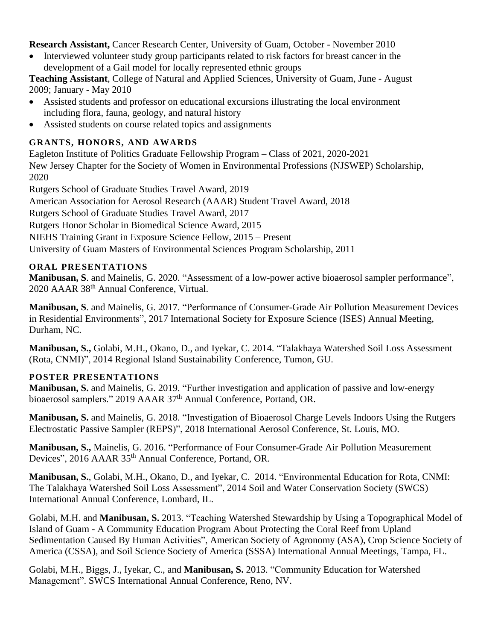**Research Assistant,** Cancer Research Center, University of Guam, October - November 2010

• Interviewed volunteer study group participants related to risk factors for breast cancer in the development of a Gail model for locally represented ethnic groups

**Teaching Assistant**, College of Natural and Applied Sciences, University of Guam, June - August 2009; January - May 2010

- Assisted students and professor on educational excursions illustrating the local environment including flora, fauna, geology, and natural history
- Assisted students on course related topics and assignments

# **GRANTS, HONORS, AND AWARDS**

Eagleton Institute of Politics Graduate Fellowship Program – Class of 2021, 2020-2021 New Jersey Chapter for the Society of Women in Environmental Professions (NJSWEP) Scholarship, 2020

Rutgers School of Graduate Studies Travel Award, 2019

American Association for Aerosol Research (AAAR) Student Travel Award, 2018

Rutgers School of Graduate Studies Travel Award, 2017

Rutgers Honor Scholar in Biomedical Science Award, 2015

NIEHS Training Grant in Exposure Science Fellow, 2015 – Present

University of Guam Masters of Environmental Sciences Program Scholarship, 2011

## **ORAL PRESENTATIONS**

**Manibusan, S**. and Mainelis, G. 2020. "Assessment of a low-power active bioaerosol sampler performance", 2020 AAAR 38th Annual Conference, Virtual.

**Manibusan, S**. and Mainelis, G. 2017. "Performance of Consumer-Grade Air Pollution Measurement Devices in Residential Environments", 2017 International Society for Exposure Science (ISES) Annual Meeting, Durham, NC.

**Manibusan, S.,** Golabi, M.H., Okano, D., and Iyekar, C. 2014. "Talakhaya Watershed Soil Loss Assessment (Rota, CNMI)", 2014 Regional Island Sustainability Conference, Tumon, GU.

# **POSTER PRESENTATIONS**

**Manibusan, S.** and Mainelis, G. 2019. "Further investigation and application of passive and low-energy bioaerosol samplers." 2019 AAAR 37<sup>th</sup> Annual Conference, Portand, OR.

**Manibusan, S.** and Mainelis, G. 2018. "Investigation of Bioaerosol Charge Levels Indoors Using the Rutgers Electrostatic Passive Sampler (REPS)", 2018 International Aerosol Conference, St. Louis, MO.

**Manibusan, S.,** Mainelis, G. 2016. "Performance of Four Consumer-Grade Air Pollution Measurement Devices", 2016 AAAR 35<sup>th</sup> Annual Conference, Portand, OR.

**Manibusan, S.**, Golabi, M.H., Okano, D., and Iyekar, C. 2014. "Environmental Education for Rota, CNMI: The Talakhaya Watershed Soil Loss Assessment", 2014 Soil and Water Conservation Society (SWCS) International Annual Conference, Lombard, IL.

Golabi, M.H. and **Manibusan, S.** 2013. "Teaching Watershed Stewardship by Using a Topographical Model of Island of Guam - A Community Education Program About Protecting the Coral Reef from Upland Sedimentation Caused By Human Activities", American Society of Agronomy (ASA), Crop Science Society of America (CSSA), and Soil Science Society of America (SSSA) International Annual Meetings, Tampa, FL.

Golabi, M.H., Biggs, J., Iyekar, C., and **Manibusan, S.** 2013. "Community Education for Watershed Management". SWCS International Annual Conference, Reno, NV.